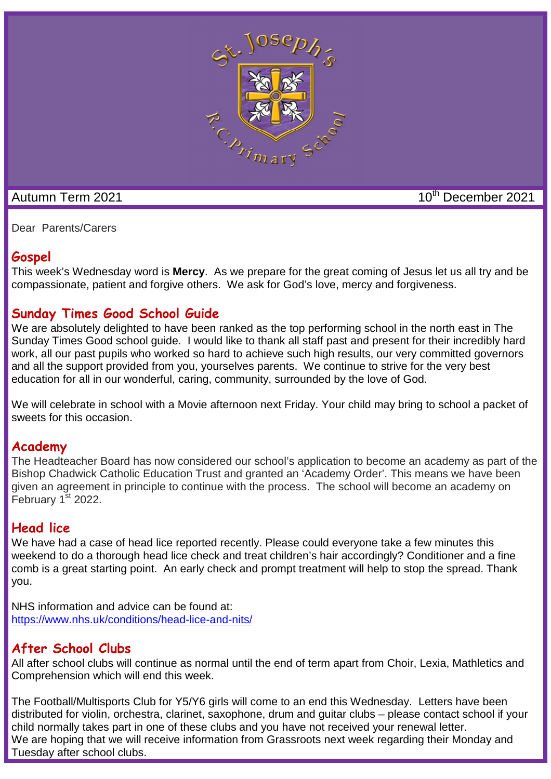

Autumn Term 2021 10th December 2021

Dear Parents/Carers

#### **Gospel**

This week's Wednesday word is **Mercy**. As we prepare for the great coming of Jesus let us all try and be compassionate, patient and forgive others. We ask for God's love, mercy and forgiveness.

#### **Sunday Times Good School Guide**

We are absolutely delighted to have been ranked as the top performing school in the north east in The Sunday Times Good school guide. I would like to thank all staff past and present for their incredibly hard work, all our past pupils who worked so hard to achieve such high results, our very committed governors and all the support provided from you, yourselves parents. We continue to strive for the very best education for all in our wonderful, caring, community, surrounded by the love of God.

We will celebrate in school with a Movie afternoon next Friday. Your child may bring to school a packet of sweets for this occasion.

#### **Academy**

The Headteacher Board has now considered our school's application to become an academy as part of the Bishop Chadwick Catholic Education Trust and granted an 'Academy Order'. This means we have been given an agreement in principle to continue with the process. The school will become an academy on February  $1^{st}$  2022.

#### **Head lice**

We have had a case of head lice reported recently. Please could everyone take a few minutes this weekend to do a thorough head lice check and treat children's hair accordingly? Conditioner and a fine comb is a great starting point. An early check and prompt treatment will help to stop the spread. Thank you.

NHS information and advice can be found at: https://www.nhs.uk/conditions/head-lice-and-nits/

#### **After School Clubs**

All after school clubs will continue as normal until the end of term apart from Choir, Lexia, Mathletics and Comprehension which will end this week.

The Football/Multisports Club for Y5/Y6 girls will come to an end this Wednesday. Letters have been distributed for violin, orchestra, clarinet, saxophone, drum and guitar clubs – please contact school if your child normally takes part in one of these clubs and you have not received your renewal letter. We are hoping that we will receive information from Grassroots next week regarding their Monday and Tuesday after school clubs.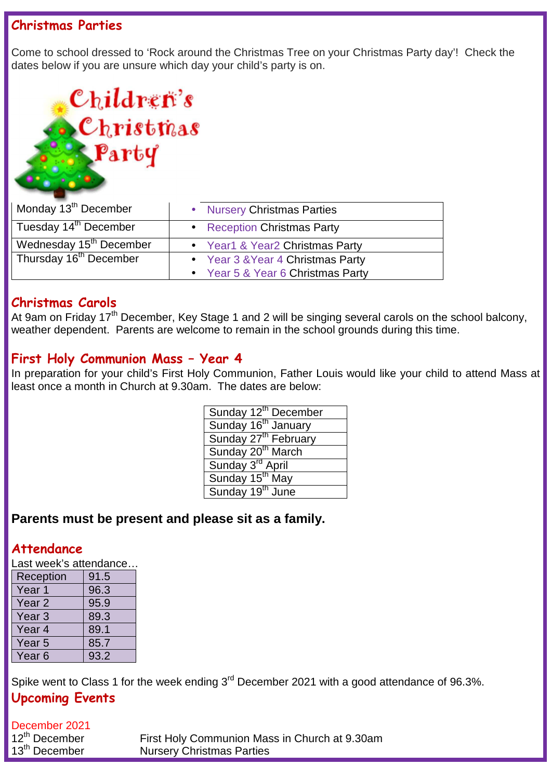#### **Christmas Parties**

Come to school dressed to 'Rock around the Christmas Tree on your Christmas Party day'! Check the dates below if you are unsure which day your child's party is on.

## Children's Christmas Party

| Monday 13 <sup>th</sup> December    | • Nursery Christmas Parties       |
|-------------------------------------|-----------------------------------|
| Tuesday 14 <sup>th</sup> December   | • Reception Christmas Party       |
| Wednesday 15 <sup>th</sup> December | • Year1 & Year2 Christmas Party   |
| Thursday 16 <sup>th</sup> December  | • Year 3 & Year 4 Christmas Party |
|                                     | • Year 5 & Year 6 Christmas Party |

#### **Christmas Carols**

At 9am on Friday 17<sup>th</sup> December, Key Stage 1 and 2 will be singing several carols on the school balcony, weather dependent. Parents are welcome to remain in the school grounds during this time.

#### **First Holy Communion Mass – Year 4**

In preparation for your child's First Holy Communion, Father Louis would like your child to attend Mass at least once a month in Church at 9.30am. The dates are below:

| Sunday 12 <sup>th</sup> December |
|----------------------------------|
| Sunday 16 <sup>th</sup> January  |
| Sunday 27 <sup>th</sup> February |
| Sunday 20 <sup>th</sup> March    |
| Sunday 3rd April                 |
| Sunday 15 <sup>th</sup> May      |
| Sunday 19 <sup>th</sup> June     |

#### **Parents must be present and please sit as a family.**

#### **Attendance**

Last week's attendance...

| Reception | 91.5 |
|-----------|------|
| Year 1    | 96.3 |
| Year 2    | 95.9 |
| Year 3    | 89.3 |
| Year 4    | 89.1 |
| Year 5    | 85.7 |
| Year 6    | 93.2 |

Spike went to Class 1 for the week ending 3<sup>rd</sup> December 2021 with a good attendance of 96.3%.

### **Upcoming Events**

December 2021<br>12<sup>th</sup> December First Holy Communion Mass in Church at 9.30am 13<sup>th</sup> December Nursery Christmas Parties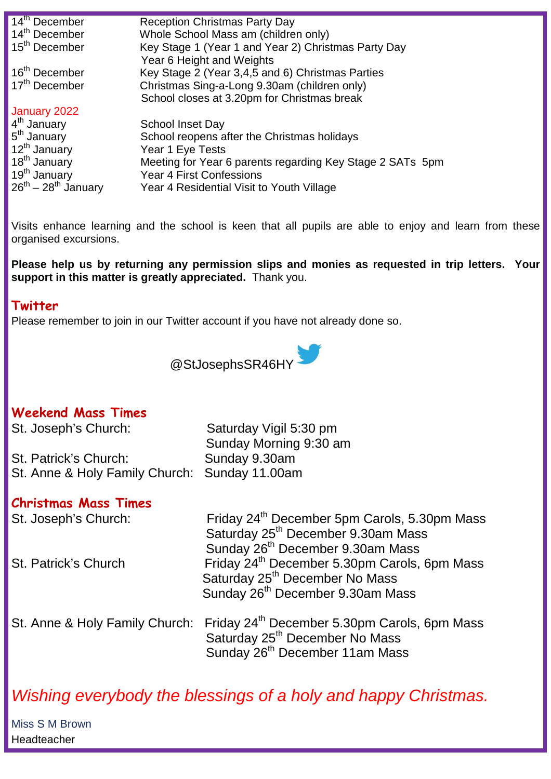| 14 <sup>th</sup> December   | <b>Reception Christmas Party Day</b>                      |
|-----------------------------|-----------------------------------------------------------|
| 14 <sup>th</sup> December   | Whole School Mass am (children only)                      |
| 15 <sup>th</sup> December   | Key Stage 1 (Year 1 and Year 2) Christmas Party Day       |
|                             | Year 6 Height and Weights                                 |
| 16 <sup>th</sup> December   | Key Stage 2 (Year 3,4,5 and 6) Christmas Parties          |
| 17 <sup>th</sup> December   | Christmas Sing-a-Long 9.30am (children only)              |
|                             | School closes at 3.20pm for Christmas break               |
| January 2022                |                                                           |
| 4 <sup>th</sup> January     | <b>School Inset Day</b>                                   |
| 5 <sup>th</sup> January     | School reopens after the Christmas holidays               |
| 12 <sup>th</sup> January    | Year 1 Eye Tests                                          |
| 18 <sup>th</sup> January    | Meeting for Year 6 parents regarding Key Stage 2 SATs 5pm |
| 19 <sup>th</sup> January    | <b>Year 4 First Confessions</b>                           |
| $26^{th} - 28^{th}$ January | Year 4 Residential Visit to Youth Village                 |
|                             |                                                           |

Visits enhance learning and the school is keen that all pupils are able to enjoy and learn from these organised excursions.

**Please help us by returning any permission slips and monies as requested in trip letters. Your support in this matter is greatly appreciated.** Thank you.

#### **Twitter**

Please remember to join in our Twitter account if you have not already done so.



#### **Weekend Mass Times**

St. Patrick's Church: Sunday 9.30am St. Anne & Holy Family Church: Sunday 11.00am

St. Joseph's Church: Saturday Vigil 5:30 pm Sunday Morning 9:30 am

#### **Christmas Mass Times**

| St. Joseph's Church: | Friday 24 <sup>th</sup> December 5pm Carols, 5.30pm Mass                                |
|----------------------|-----------------------------------------------------------------------------------------|
|                      | Saturday 25 <sup>th</sup> December 9.30am Mass                                          |
|                      | Sunday 26 <sup>th</sup> December 9.30am Mass                                            |
| St. Patrick's Church | Friday 24 <sup>th</sup> December 5.30pm Carols, 6pm Mass                                |
|                      | Saturday 25 <sup>th</sup> December No Mass                                              |
|                      | Sunday 26 <sup>th</sup> December 9.30am Mass                                            |
|                      | St. Anne & Holy Family Church: Friday 24 <sup>th</sup> December 5.30pm Carols, 6pm Mass |
|                      | Saturday 25 <sup>th</sup> December No Mass                                              |

### Wishing everybody the blessings of a holy and happy Christmas.

Sunday 26<sup>th</sup> December 11am Mass

Miss S M Brown Headteacher